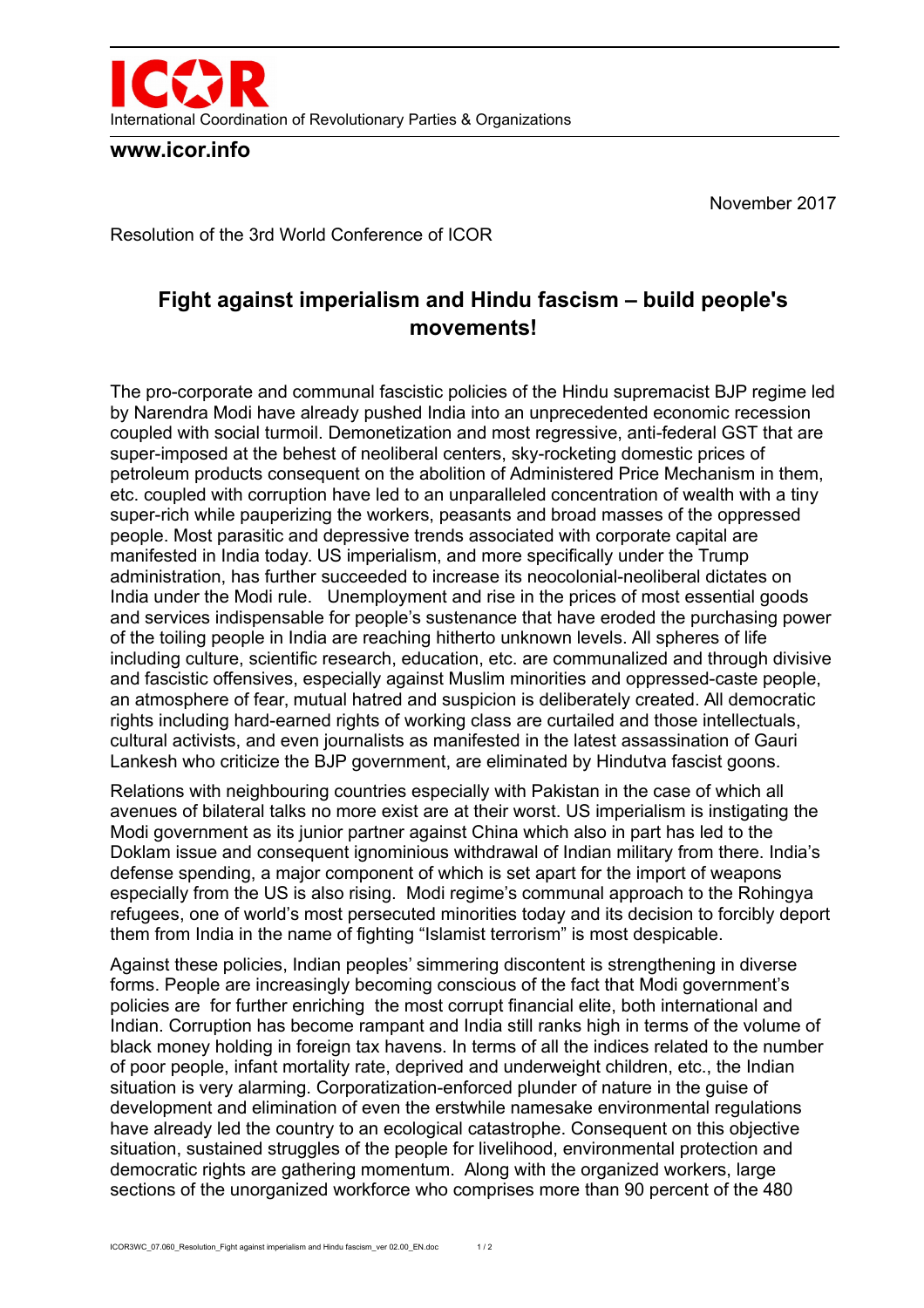

**www.icor.info**

November 2017

Resolution of the 3rd World Conference of ICOR

## **Fight against imperialism and Hindu fascism – build people's movements!**

The pro-corporate and communal fascistic policies of the Hindu supremacist BJP regime led by Narendra Modi have already pushed India into an unprecedented economic recession coupled with social turmoil. Demonetization and most regressive, anti-federal GST that are super-imposed at the behest of neoliberal centers, sky-rocketing domestic prices of petroleum products consequent on the abolition of Administered Price Mechanism in them, etc. coupled with corruption have led to an unparalleled concentration of wealth with a tiny super-rich while pauperizing the workers, peasants and broad masses of the oppressed people. Most parasitic and depressive trends associated with corporate capital are manifested in India today. US imperialism, and more specifically under the Trump administration, has further succeeded to increase its neocolonial-neoliberal dictates on India under the Modi rule. Unemployment and rise in the prices of most essential goods and services indispensable for people's sustenance that have eroded the purchasing power of the toiling people in India are reaching hitherto unknown levels. All spheres of life including culture, scientific research, education, etc. are communalized and through divisive and fascistic offensives, especially against Muslim minorities and oppressed-caste people, an atmosphere of fear, mutual hatred and suspicion is deliberately created. All democratic rights including hard-earned rights of working class are curtailed and those intellectuals, cultural activists, and even journalists as manifested in the latest assassination of Gauri Lankesh who criticize the BJP government, are eliminated by Hindutva fascist goons.

Relations with neighbouring countries especially with Pakistan in the case of which all avenues of bilateral talks no more exist are at their worst. US imperialism is instigating the Modi government as its junior partner against China which also in part has led to the Doklam issue and consequent ignominious withdrawal of Indian military from there. India's defense spending, a major component of which is set apart for the import of weapons especially from the US is also rising. Modi regime's communal approach to the Rohingya refugees, one of world's most persecuted minorities today and its decision to forcibly deport them from India in the name of fighting "Islamist terrorism" is most despicable.

Against these policies, Indian peoples' simmering discontent is strengthening in diverse forms. People are increasingly becoming conscious of the fact that Modi government's policies are for further enriching the most corrupt financial elite, both international and Indian. Corruption has become rampant and India still ranks high in terms of the volume of black money holding in foreign tax havens. In terms of all the indices related to the number of poor people, infant mortality rate, deprived and underweight children, etc., the Indian situation is very alarming. Corporatization-enforced plunder of nature in the guise of development and elimination of even the erstwhile namesake environmental regulations have already led the country to an ecological catastrophe. Consequent on this objective situation, sustained struggles of the people for livelihood, environmental protection and democratic rights are gathering momentum. Along with the organized workers, large sections of the unorganized workforce who comprises more than 90 percent of the 480